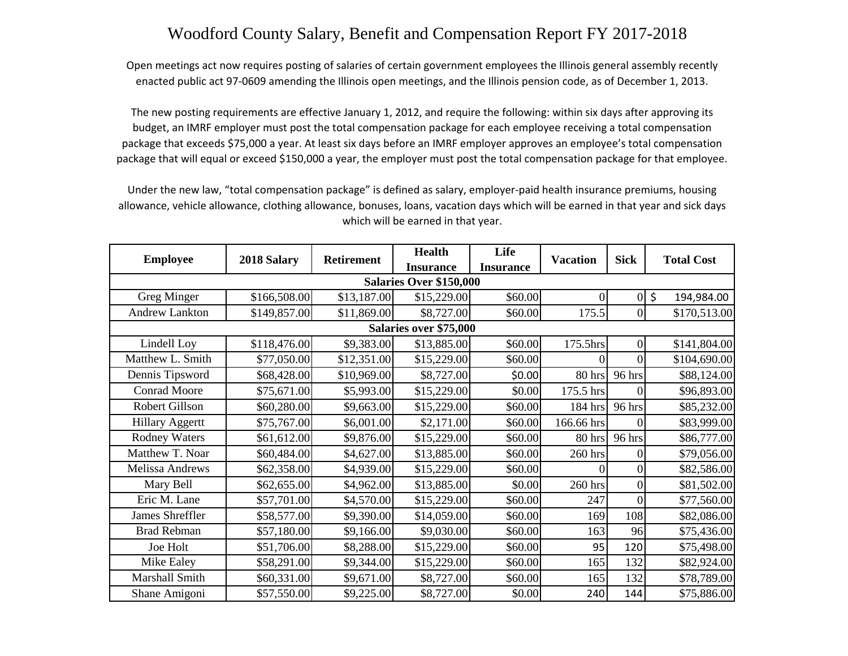## Woodford County Salary, Benefit and Compensation Report FY 2017-2018

Open meetings act now requires posting of salaries of certain government employees the Illinois general assembly recently enacted public act 97‐0609 amending the Illinois open meetings, and the Illinois pension code, as of December 1, 2013.

The new posting requirements are effective January 1, 2012, and require the following: within six days after approving its budget, an IMRF employer must post the total compensation package for each employee receiving a total compensation package that exceeds \$75,000 a year. At least six days before an IMRF employer approves an employee's total compensation package that will equal or exceed \$150,000 a year, the employer must post the total compensation package for that employee.

Under the new law, "total compensation package" is defined as salary, employer‐paid health insurance premiums, housing allowance, vehicle allowance, clothing allowance, bonuses, loans, vacation days which will be earned in that year and sick days which will be earned in that year.

| <b>Employee</b>         | 2018 Salary  | <b>Retirement</b> | <b>Health</b>    | Life             | <b>Vacation</b> | <b>Sick</b>    | <b>Total Cost</b> |  |  |  |  |
|-------------------------|--------------|-------------------|------------------|------------------|-----------------|----------------|-------------------|--|--|--|--|
|                         |              |                   | <b>Insurance</b> | <b>Insurance</b> |                 |                |                   |  |  |  |  |
| Salaries Over \$150,000 |              |                   |                  |                  |                 |                |                   |  |  |  |  |
| Greg Minger             | \$166,508.00 | \$13,187.00       | \$15,229.00      | \$60.00          |                 | $\overline{0}$ | \$<br>194,984.00  |  |  |  |  |
| <b>Andrew Lankton</b>   | \$149,857.00 | \$11,869.00       | \$8,727.00       | \$60.00          | 175.5           | $\Omega$       | \$170,513.00      |  |  |  |  |
| Salaries over \$75,000  |              |                   |                  |                  |                 |                |                   |  |  |  |  |
| Lindell Loy             | \$118,476.00 | \$9,383.00        | \$13,885.00      | \$60.00          | 175.5hrs        | $\Omega$       | \$141,804.00      |  |  |  |  |
| Matthew L. Smith        | \$77,050.00  | \$12,351.00       | \$15,229.00      | \$60.00          |                 | 0              | \$104,690.00      |  |  |  |  |
| Dennis Tipsword         | \$68,428.00  | \$10,969.00       | \$8,727.00       | \$0.00           | 80 hrs          | 96 hrs         | \$88,124.00       |  |  |  |  |
| <b>Conrad Moore</b>     | \$75,671.00  | \$5,993.00        | \$15,229.00      | \$0.00           | 175.5 hrs       | 0              | \$96,893.00       |  |  |  |  |
| Robert Gillson          | \$60,280.00  | \$9,663.00        | \$15,229.00      | \$60.00]         | 184 hrs         | 96 hrs         | \$85,232.00       |  |  |  |  |
| <b>Hillary Aggertt</b>  | \$75,767.00  | \$6,001.00        | \$2,171.00       | \$60.00          | 166.66 hrs      | 0              | \$83,999.00       |  |  |  |  |
| <b>Rodney Waters</b>    | \$61,612.00  | \$9,876.00        | \$15,229.00      | \$60.00          | 80 hrs          | 96 hrs         | \$86,777.00       |  |  |  |  |
| Matthew T. Noar         | \$60,484.00  | \$4,627.00        | \$13,885.00      | \$60.00          | 260 hrs         | 0              | \$79,056.00       |  |  |  |  |
| Melissa Andrews         | \$62,358.00  | \$4,939.00        | \$15,229.00      | \$60.00          |                 | 0              | \$82,586.00       |  |  |  |  |
| Mary Bell               | \$62,655.00  | \$4,962.00        | \$13,885.00      | \$0.00           | 260 hrs         | 0              | \$81,502.00       |  |  |  |  |
| Eric M. Lane            | \$57,701.00  | \$4,570.00        | \$15,229.00      | \$60.00          | 247             | 0              | \$77,560.00       |  |  |  |  |
| James Shreffler         | \$58,577.00  | \$9,390.00        | \$14,059.00      | \$60.00          | 169             | 108            | \$82,086.00       |  |  |  |  |
| <b>Brad Rebman</b>      | \$57,180.00  | \$9,166.00        | \$9,030.00       | \$60.00          | 163             | 96             | \$75,436.00       |  |  |  |  |
| Joe Holt                | \$51,706.00  | \$8,288.00        | \$15,229.00      | \$60.00          | 95              | 120            | \$75,498.00       |  |  |  |  |
| Mike Ealey              | \$58,291.00  | \$9,344.00        | \$15,229.00      | \$60.00          | 165             | 132            | \$82,924.00       |  |  |  |  |
| Marshall Smith          | \$60,331.00  | \$9,671.00        | \$8,727.00       | \$60.00]         | 165             | 132            | \$78,789.00       |  |  |  |  |
| Shane Amigoni           | \$57,550.00  | \$9,225.00        | \$8,727.00       | \$0.00           | 240             | 144            | \$75,886.00       |  |  |  |  |